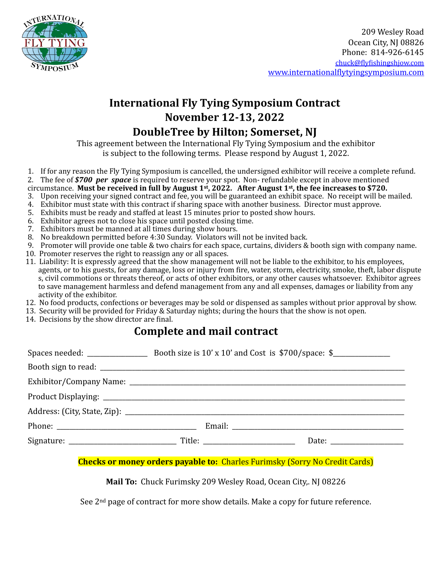

## **International Fly Tying Symposium Contract November 12-13, 2022**

## **DoubleTree by Hilton; Somerset, NJ**

This agreement between the International Fly Tying Symposium and the exhibitor is subject to the following terms. Please respond by August 1, 2022.

1. If for any reason the Fly Tying Symposium is cancelled, the undersigned exhibitor will receive a complete refund.

2. The fee of **\$700 per space** is required to reserve your spot. Non- refundable except in above mentioned

circumstance. Must be received in full by August  $1^{st}$ , 2022. After August  $1^{st}$ , the fee increases to \$720.

- 3. Upon receiving your signed contract and fee, you will be guaranteed an exhibit space. No receipt will be mailed.
- 4. Exhibitor must state with this contract if sharing space with another business. Director must approve.
- 5. Exhibits must be ready and staffed at least 15 minutes prior to posted show hours.
- 6. Exhibitor agrees not to close his space until posted closing time.
- 7. Exhibitors must be manned at all times during show hours.
- 8. No breakdown permitted before 4:30 Sunday. Violators will not be invited back.
- 9. Promoter will provide one table  $&$  two chairs for each space, curtains, dividers  $&$  booth sign with company name.
- 10. Promoter reserves the right to reassign any or all spaces.
- 11. Liability: It is expressly agreed that the show management will not be liable to the exhibitor, to his employees, agents, or to his guests, for any damage, loss or injury from fire, water, storm, electricity, smoke, theft, labor dispute s, civil commotions or threats thereof, or acts of other exhibitors, or any other causes whatsoever. Exhibitor agrees to save management harmless and defend management from any and all expenses, damages or liability from any activity of the exhibitor.
- 12. No food products, confections or beverages may be sold or dispensed as samples without prior approval by show.
- 13. Security will be provided for Friday & Saturday nights; during the hours that the show is not open.
- 14. Decisions by the show director are final.

### **Complete and mail contract**

#### **Checks or money orders payable to:** Charles Furimsky (Sorry No Credit Cards)

**Mail To:** Chuck Furimsky 209 Wesley Road, Ocean City,. NJ 08226

See  $2<sup>nd</sup>$  page of contract for more show details. Make a copy for future reference.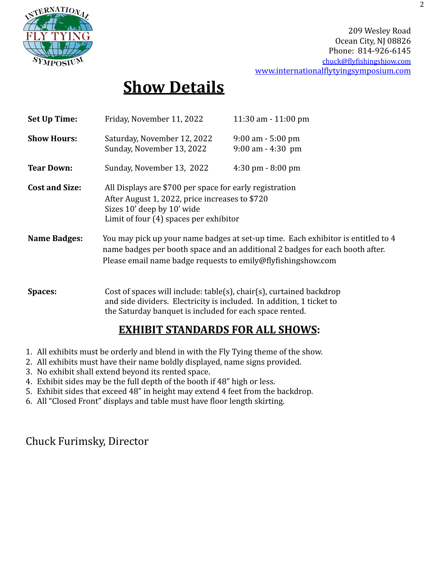

209 Wesley Road Ocean City, NJ 08826 Phone: 814-926-6145 [chuck@flyfishingshjow.com](mailto:chuck@flyfishingshjow.com) [www.internationalflytyingsymposium.com](http://www.internationalflytyingsymposium.com)

# **Show Details**

| Set Up Time:          | Friday, November 11, 2022                                                                                                                                                                                                        | $11:30$ am $-11:00$ pm                    |  |
|-----------------------|----------------------------------------------------------------------------------------------------------------------------------------------------------------------------------------------------------------------------------|-------------------------------------------|--|
| <b>Show Hours:</b>    | Saturday, November 12, 2022<br>Sunday, November 13, 2022                                                                                                                                                                         | 9:00 am - 5:00 pm<br>$9:00$ am $-4:30$ pm |  |
| <b>Tear Down:</b>     | Sunday, November 13, 2022                                                                                                                                                                                                        | $4:30 \text{ pm} - 8:00 \text{ pm}$       |  |
| <b>Cost and Size:</b> | All Displays are \$700 per space for early registration<br>After August 1, 2022, price increases to \$720<br>Sizes 10' deep by 10' wide<br>Limit of four (4) spaces per exhibitor                                                |                                           |  |
| <b>Name Badges:</b>   | You may pick up your name badges at set-up time. Each exhibitor is entitled to 4<br>name badges per booth space and an additional 2 badges for each booth after.<br>Please email name badge requests to emily@flyfishingshow.com |                                           |  |
| <b>Spaces:</b>        | Cost of spaces will include: table(s), chair(s), curtained backdrop<br>and side dividers. Electricity is included. In addition, 1 ticket to<br>the Saturday banquet is included for each space rented.                           |                                           |  |

## **EXHIBIT STANDARDS FOR ALL SHOWS:**

- 1. All exhibits must be orderly and blend in with the Fly Tying theme of the show.
- 2. All exhibits must have their name boldly displayed, name signs provided.
- 3. No exhibit shall extend beyond its rented space.
- 4. Exhibit sides may be the full depth of the booth if 48" high or less.
- 5. Exhibit sides that exceed 48" in height may extend 4 feet from the backdrop.
- 6. All "Closed Front" displays and table must have floor length skirting.

## Chuck Furimsky, Director